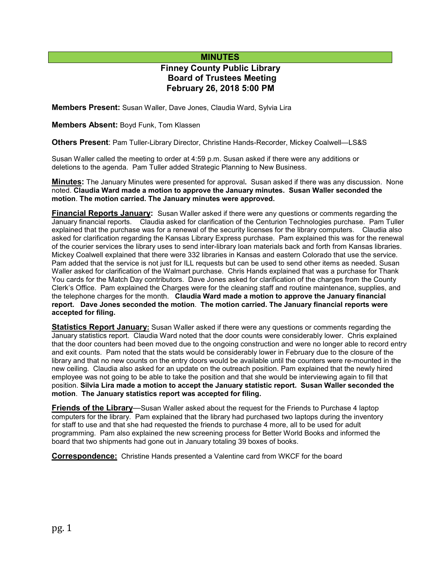## **MINUTES**

# **Finney County Public Library Board of Trustees Meeting February 26, 2018 5:00 PM**

**Members Present:** Susan Waller, Dave Jones, Claudia Ward, Sylvia Lira

**Members Absent:** Boyd Funk, Tom Klassen

**Others Present**: Pam Tuller-Library Director, Christine Hands-Recorder, Mickey Coalwell—LS&S

Susan Waller called the meeting to order at 4:59 p.m. Susan asked if there were any additions or deletions to the agenda. Pam Tuller added Strategic Planning to New Business.

**Minutes:** The January Minutes were presented for approval**.** Susan asked if there was any discussion. None noted. **Claudia Ward made a motion to approve the January minutes. Susan Waller seconded the motion**. **The motion carried. The January minutes were approved.** 

**Financial Reports January:** Susan Waller asked if there were any questions or comments regarding the January financial reports. Claudia asked for clarification of the Centurion Technologies purchase. Pam Tuller explained that the purchase was for a renewal of the security licenses for the library computers. Claudia also asked for clarification regarding the Kansas Library Express purchase. Pam explained this was for the renewal of the courier services the library uses to send inter-library loan materials back and forth from Kansas libraries. Mickey Coalwell explained that there were 332 libraries in Kansas and eastern Colorado that use the service. Pam added that the service is not just for ILL requests but can be used to send other items as needed. Susan Waller asked for clarification of the Walmart purchase. Chris Hands explained that was a purchase for Thank You cards for the Match Day contributors. Dave Jones asked for clarification of the charges from the County Clerk's Office. Pam explained the Charges were for the cleaning staff and routine maintenance, supplies, and the telephone charges for the month. **Claudia Ward made a motion to approve the January financial report. Dave Jones seconded the motion**. **The motion carried. The January financial reports were accepted for filing.**

**Statistics Report January:** Susan Waller asked if there were any questions or comments regarding the January statistics report. Claudia Ward noted that the door counts were considerably lower. Chris explained that the door counters had been moved due to the ongoing construction and were no longer able to record entry and exit counts. Pam noted that the stats would be considerably lower in February due to the closure of the library and that no new counts on the entry doors would be available until the counters were re-mounted in the new ceiling. Claudia also asked for an update on the outreach position. Pam explained that the newly hired employee was not going to be able to take the position and that she would be interviewing again to fill that position. **Silvia Lira made a motion to accept the January statistic report. Susan Waller seconded the motion**. **The January statistics report was accepted for filing.**

**Friends of the Library**—Susan Waller asked about the request for the Friends to Purchase 4 laptop computers for the library. Pam explained that the library had purchased two laptops during the inventory for staff to use and that she had requested the friends to purchase 4 more, all to be used for adult programming. Pam also explained the new screening process for Better World Books and informed the board that two shipments had gone out in January totaling 39 boxes of books.

**Correspondence:** Christine Hands presented a Valentine card from WKCF for the board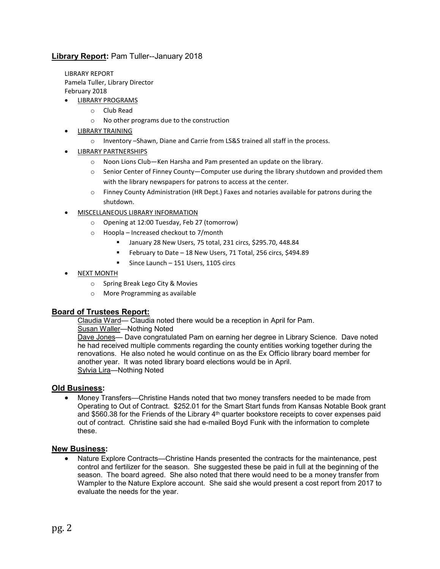### **Library Report:** Pam Tuller--January 2018

LIBRARY REPORT Pamela Tuller, Library Director February 2018

- LIBRARY PROGRAMS
	- o Club Read
	- o No other programs due to the construction
- LIBRARY TRAINING
	- o Inventory –Shawn, Diane and Carrie from LS&S trained all staff in the process.
- LIBRARY PARTNERSHIPS
	- o Noon Lions Club—Ken Harsha and Pam presented an update on the library.
	- o Senior Center of Finney County—Computer use during the library shutdown and provided them with the library newspapers for patrons to access at the center.
	- $\circ$  Finney County Administration (HR Dept.) Faxes and notaries available for patrons during the shutdown.
- MISCELLANEOUS LIBRARY INFORMATION
	- o Opening at 12:00 Tuesday, Feb 27 (tomorrow)
	- o Hoopla Increased checkout to 7/month
		- January 28 New Users, 75 total, 231 circs, \$295.70, 448.84
		- February to Date 18 New Users, 71 Total, 256 circs, \$494.89
		- Since Launch 151 Users, 1105 circs
- NEXT MONTH
	- o Spring Break Lego City & Movies
	- o More Programming as available

### **Board of Trustees Report:**

Claudia Ward— Claudia noted there would be a reception in April for Pam.

Susan Waller—Nothing Noted

Dave Jones— Dave congratulated Pam on earning her degree in Library Science. Dave noted he had received multiple comments regarding the county entities working together during the renovations. He also noted he would continue on as the Ex Officio library board member for another year. It was noted library board elections would be in April. Sylvia Lira—Nothing Noted

#### **Old Business:**

• Money Transfers—Christine Hands noted that two money transfers needed to be made from Operating to Out of Contract. \$252.01 for the Smart Start funds from Kansas Notable Book grant and \$560.38 for the Friends of the Library 4<sup>th</sup> quarter bookstore receipts to cover expenses paid out of contract. Christine said she had e-mailed Boyd Funk with the information to complete these.

#### **New Business:**

• Nature Explore Contracts—Christine Hands presented the contracts for the maintenance, pest control and fertilizer for the season. She suggested these be paid in full at the beginning of the season. The board agreed. She also noted that there would need to be a money transfer from Wampler to the Nature Explore account. She said she would present a cost report from 2017 to evaluate the needs for the year.